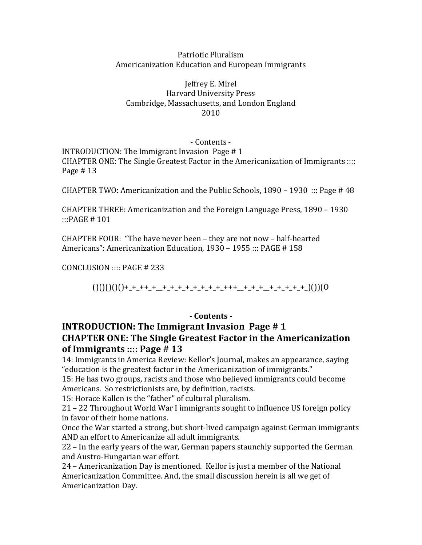#### Patriotic Pluralism Americanization Education and European Immigrants

Jeffrey E. Mirel Harvard University Press Cambridge, Massachusetts, and London England 2010

#### - Contents -

INTRODUCTION: The Immigrant Invasion Page  $#1$ CHAPTER ONE: The Single Greatest Factor in the Americanization of Immigrants :::: Page  $#13$ 

CHAPTER TWO: Americanization and the Public Schools,  $1890 - 1930$  ::: Page # 48

CHAPTER THREE: Americanization and the Foreign Language Press, 1890 – 1930 :::PAGE # 101

CHAPTER FOUR: "The have never been  $-$  they are not now  $-$  half-hearted Americans": Americanization Education, 1930 - 1955 ::: PAGE # 158

CONCLUSION  $\ldots$  PAGE # 233

()()()()()+\_+\_++\_+\_\_+\_+\_+\_+\_+\_+\_+\_+\_+++\_\_+\_+\_+\_\_+\_+\_+\_+\_+\_)())(O

### **- Contents -**

### **INTRODUCTION: The Immigrant Invasion Page # 1 CHAPTER ONE: The Single Greatest Factor in the Americanization of Immigrants** :::: Page # 13

14: Immigrants in America Review: Kellor's Journal, makes an appearance, saying "education is the greatest factor in the Americanization of immigrants."

15: He has two groups, racists and those who believed immigrants could become Americans. So restrictionists are, by definition, racists.

15: Horace Kallen is the "father" of cultural pluralism.

 $21 - 22$  Throughout World War I immigrants sought to influence US foreign policy in favor of their home nations.

Once the War started a strong, but short-lived campaign against German immigrants AND an effort to Americanize all adult immigrants.

22 – In the early years of the war, German papers staunchly supported the German and Austro-Hungarian war effort.

24 – Americanization Day is mentioned. Kellor is just a member of the National Americanization Committee. And, the small discussion herein is all we get of Americanization Day.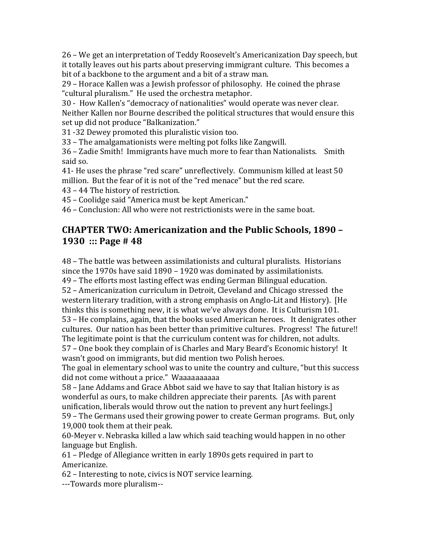26 – We get an interpretation of Teddy Roosevelt's Americanization Day speech, but it totally leaves out his parts about preserving immigrant culture. This becomes a bit of a backbone to the argument and a bit of a straw man.

 $29$  – Horace Kallen was a Jewish professor of philosophy. He coined the phrase "cultural pluralism." He used the orchestra metaphor.

30 - How Kallen's "democracy of nationalities" would operate was never clear. Neither Kallen nor Bourne described the political structures that would ensure this set up did not produce "Balkanization."

31 -32 Dewey promoted this pluralistic vision too.

33 – The amalgamationists were melting pot folks like Zangwill.

36 – Zadie Smith! Immigrants have much more to fear than Nationalists. Smith said so.

41- He uses the phrase "red scare" unreflectively. Communism killed at least 50 million. But the fear of it is not of the "red menace" but the red scare.

43 – 44 The history of restriction.

45 – Coolidge said "America must be kept American."

46 – Conclusion: All who were not restrictionists were in the same boat.

## **CHAPTER TWO: Americanization and the Public Schools, 1890 -1930** ::: Page # 48

48 - The battle was between assimilationists and cultural pluralists. Historians since the 1970s have said  $1890 - 1920$  was dominated by assimilationists. 49 – The efforts most lasting effect was ending German Bilingual education.

52 – Americanization curriculum in Detroit, Cleveland and Chicago stressed the western literary tradition, with a strong emphasis on Anglo-Lit and History). [He thinks this is something new, it is what we've always done. It is Culturism 101. 53 – He complains, again, that the books used American heroes. It denigrates other cultures. Our nation has been better than primitive cultures. Progress! The future!!

The legitimate point is that the curriculum content was for children, not adults. 57 – One book they complain of is Charles and Mary Beard's Economic history! It

wasn't good on immigrants, but did mention two Polish heroes.

The goal in elementary school was to unite the country and culture, "but this success" did not come without a price." Waaaaaaaaaaa

58 – Jane Addams and Grace Abbot said we have to say that Italian history is as wonderful as ours, to make children appreciate their parents. [As with parent unification, liberals would throw out the nation to prevent any hurt feelings.] 59 - The Germans used their growing power to create German programs. But, only 19,000 took them at their peak.

60-Meyer v. Nebraska killed a law which said teaching would happen in no other language but English.

61 – Pledge of Allegiance written in early 1890s gets required in part to Americanize. 

62 – Interesting to note, civics is NOT service learning.

---Towards more pluralism--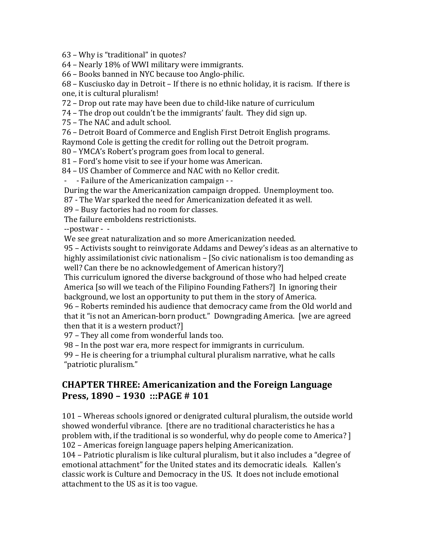$63$  – Why is "traditional" in quotes?

 $64$  – Nearly 18% of WWI military were immigrants.

66 – Books banned in NYC because too Anglo-philic.

 $68$  – Kusciusko day in Detroit – If there is no ethnic holiday, it is racism. If there is one, it is cultural pluralism!

72 – Drop out rate may have been due to child-like nature of curriculum

74 – The drop out couldn't be the immigrants' fault. They did sign up.

75 - The NAC and adult school.

76 – Detroit Board of Commerce and English First Detroit English programs.

Raymond Cole is getting the credit for rolling out the Detroit program.

80 – YMCA's Robert's program goes from local to general.

81 – Ford's home visit to see if your home was American.

84 - US Chamber of Commerce and NAC with no Kellor credit.

- Failure of the Americanization campaign - -

During the war the Americanization campaign dropped. Unemployment too.

87 - The War sparked the need for Americanization defeated it as well.

89 – Busy factories had no room for classes.

The failure emboldens restrictionists.

--postwar - -

We see great naturalization and so more Americanization needed.

95 – Activists sought to reinvigorate Addams and Dewey's ideas as an alternative to highly assimilationist civic nationalism  $-$  [So civic nationalism is too demanding as well? Can there be no acknowledgement of American history?]

This curriculum ignored the diverse background of those who had helped create America [so will we teach of the Filipino Founding Fathers?] In ignoring their background, we lost an opportunity to put them in the story of America.

96 – Roberts reminded his audience that democracy came from the Old world and that it "is not an American-born product." Downgrading America. [we are agreed then that it is a western product?]

97 - They all come from wonderful lands too.

98 – In the post war era, more respect for immigrants in curriculum.

 $99$  – He is cheering for a triumphal cultural pluralism narrative, what he calls "patriotic pluralism."

### **CHAPTER THREE: Americanization and the Foreign Language Press, 1890 - 1930 :::PAGE # 101**

101 – Whereas schools ignored or denigrated cultural pluralism, the outside world showed wonderful vibrance. [there are no traditional characteristics he has a problem with, if the traditional is so wonderful, why do people come to America? l 102 – Americas foreign language papers helping Americanization.

104 – Patriotic pluralism is like cultural pluralism, but it also includes a "degree of emotional attachment" for the United states and its democratic ideals. Kallen's classic work is Culture and Democracy in the US. It does not include emotional attachment to the US as it is too vague.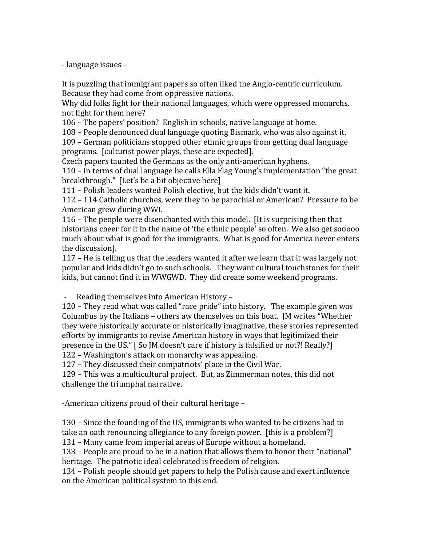- language issues –

It is puzzling that immigrant papers so often liked the Anglo-centric curriculum. Because they had come from oppressive nations.

Why did folks fight for their national languages, which were oppressed monarchs, not fight for them here?

106 – The papers' position? English in schools, native language at home.

108 – People denounced dual language quoting Bismark, who was also against it.

109 – German politicians stopped other ethnic groups from getting dual language programs. [culturist power plays, these are expected].

Czech papers taunted the Germans as the only anti-american hyphens.

110 – In terms of dual language he calls Ella Flag Young's implementation "the great  $breakthrough."$  [Let's be a bit objective here]

111 – Polish leaders wanted Polish elective, but the kids didn't want it.

112 – 114 Catholic churches, were they to be parochial or American? Pressure to be American grew during WWI.

116 – The people were disenchanted with this model. It is surprising then that historians cheer for it in the name of 'the ethnic people' so often. We also get sooooo much about what is good for the immigrants. What is good for America never enters the discussion].

117 – He is telling us that the leaders wanted it after we learn that it was largely not popular and kids didn't go to such schools. They want cultural touchstones for their kids, but cannot find it in WWGWD. They did create some weekend programs.

Reading themselves into American History –

120 – They read what was called "race pride" into history. The example given was Columbus by the Italians – others aw themselves on this boat. IM writes "Whether" they were historically accurate or historically imaginative, these stories represented efforts by immigrants to revise American history in ways that legitimized their presence in the US." [So JM doesn't care if history is falsified or not?! Really?] 122 – Washington's attack on monarchy was appealing.

127 – They discussed their compatriots' place in the Civil War.

129 – This was a multicultural project. But, as Zimmerman notes, this did not challenge the triumphal narrative.

-American citizens proud of their cultural heritage -

130 – Since the founding of the US, immigrants who wanted to be citizens had to take an oath renouncing allegiance to any foreign power. Ithis is a problem?

131 – Many came from imperial areas of Europe without a homeland.

133 – People are proud to be in a nation that allows them to honor their "national" heritage. The patriotic ideal celebrated is freedom of religion.

134 – Polish people should get papers to help the Polish cause and exert influence on the American political system to this end.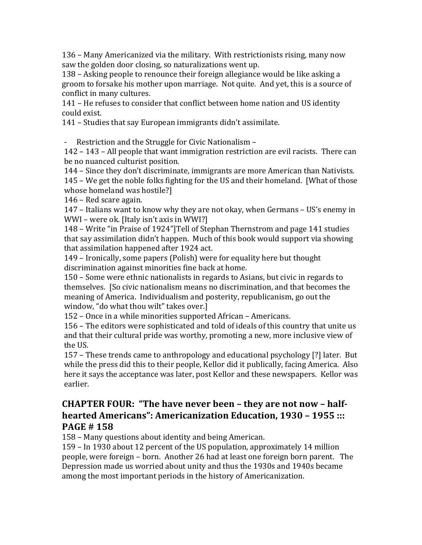136 – Many Americanized via the military. With restrictionists rising, many now saw the golden door closing, so naturalizations went up.

138 – Asking people to renounce their foreign allegiance would be like asking a groom to forsake his mother upon marriage. Not quite. And yet, this is a source of conflict in many cultures.

141 – He refuses to consider that conflict between home nation and US identity could exist.

141 – Studies that say European immigrants didn't assimilate.

- Restriction and the Struggle for Civic Nationalism –

142 – 143 – All people that want immigration restriction are evil racists. There can be no nuanced culturist position.

144 – Since they don't discriminate, immigrants are more American than Nativists.

145 – We get the noble folks fighting for the US and their homeland. [What of those whose homeland was hostile?]

146 – Red scare again.

147 – Italians want to know why they are not okay, when Germans – US's enemy in  $WWI$  – were ok. [Italy isn't axis in WWI?]

148 – Write "in Praise of 1924"]Tell of Stephan Thernstrom and page 141 studies that say assimilation didn't happen. Much of this book would support via showing that assimilation happened after 1924 act.

149 – Ironically, some papers (Polish) were for equality here but thought discrimination against minorities fine back at home.

150 – Some were ethnic nationalists in regards to Asians, but civic in regards to themselves. [So civic nationalism means no discrimination, and that becomes the meaning of America. Individualism and posterity, republicanism, go out the window, "do what thou wilt" takes over.]

152 – Once in a while minorities supported African – Americans.

156 - The editors were sophisticated and told of ideals of this country that unite us and that their cultural pride was worthy, promoting a new, more inclusive view of the US.

157 – These trends came to anthropology and educational psychology [?] later. But while the press did this to their people, Kellor did it publically, facing America. Also here it says the acceptance was later, post Kellor and these newspapers. Kellor was earlier. 

# **CHAPTER FOUR: "The have never been – they are not now – halfhearted Americans": Americanization Education, 1930 - 1955 ::: PAGE # 158**

158 – Many questions about identity and being American.

159 – In 1930 about 12 percent of the US population, approximately 14 million people, were foreign – born. Another 26 had at least one foreign born parent. The Depression made us worried about unity and thus the 1930s and 1940s became among the most important periods in the history of Americanization.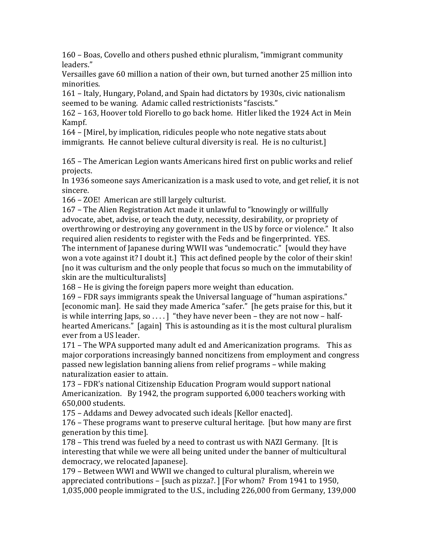160 – Boas, Covello and others pushed ethnic pluralism, "immigrant community" leaders." 

Versailles gave 60 million a nation of their own, but turned another 25 million into minorities. 

161 – Italy, Hungary, Poland, and Spain had dictators by 1930s, civic nationalism seemed to be waning. Adamic called restrictionists "fascists."

162 – 163, Hoover told Fiorello to go back home. Hitler liked the 1924 Act in Mein Kampf. 

164 – [Mirel, by implication, ridicules people who note negative stats about immigrants. He cannot believe cultural diversity is real. He is no culturist.]

165 – The American Legion wants Americans hired first on public works and relief projects. 

In 1936 someone says Americanization is a mask used to vote, and get relief, it is not sincere. 

166 – ZOE! American are still largely culturist.

167 – The Alien Registration Act made it unlawful to "knowingly or willfully advocate, abet, advise, or teach the duty, necessity, desirability, or propriety of overthrowing or destroying any government in the US by force or violence." It also required alien residents to register with the Feds and be fingerprinted. YES.

The internment of Japanese during WWII was "undemocratic." I would they have won a vote against it? I doubt it.] This act defined people by the color of their skin! [no it was culturism and the only people that focus so much on the immutability of skin are the multiculturalists]

168 – He is giving the foreign papers more weight than education.

169 – FDR says immigrants speak the Universal language of "human aspirations." [economic man]. He said they made America "safer." [he gets praise for this, but it is while interring Japs, so ....  $\vert$  "they have never been – they are not now – halfhearted Americans." [again] This is astounding as it is the most cultural pluralism ever from a US leader.

171 – The WPA supported many adult ed and Americanization programs. This as major corporations increasingly banned noncitizens from employment and congress passed new legislation banning aliens from relief programs – while making naturalization easier to attain.

173 – FDR's national Citizenship Education Program would support national Americanization. By 1942, the program supported  $6,000$  teachers working with 650,000 students. 

175 – Addams and Dewey advocated such ideals [Kellor enacted].

176 – These programs want to preserve cultural heritage. [but how many are first generation by this timel.

178 – This trend was fueled by a need to contrast us with NAZI Germany. [It is interesting that while we were all being united under the banner of multicultural democracy, we relocated Japanese].

179 – Between WWI and WWII we changed to cultural pluralism, wherein we appreciated contributions  $-$  [such as pizza?. ] [For whom? From 1941 to 1950,  $1,035,000$  people immigrated to the U.S., including  $226,000$  from Germany,  $139,000$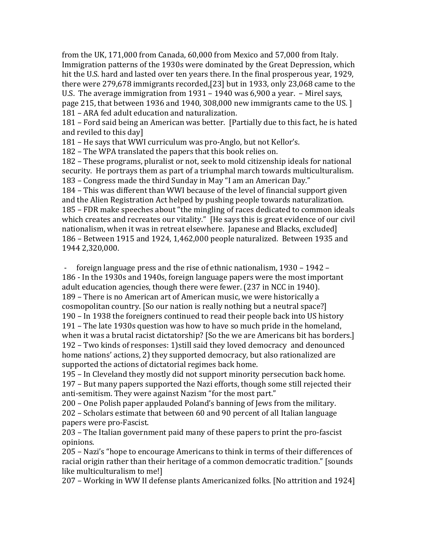from the UK, 171,000 from Canada,  $60,000$  from Mexico and  $57,000$  from Italy. Immigration patterns of the 1930s were dominated by the Great Depression, which hit the U.S. hard and lasted over ten years there. In the final prosperous year, 1929, there were  $279,678$  immigrants recorded, [23] but in 1933, only 23,068 came to the U.S. The average immigration from  $1931 - 1940$  was 6,900 a year.  $-$  Mirel says, page 215, that between 1936 and 1940, 308,000 new immigrants came to the US. [1] 181 – ARA fed adult education and naturalization.

181 – Ford said being an American was better. [Partially due to this fact, he is hated and reviled to this day]

181 – He says that WWI curriculum was pro-Anglo, but not Kellor's.

182 – The WPA translated the papers that this book relies on.

182 – These programs, pluralist or not, seek to mold citizenship ideals for national security. He portrays them as part of a triumphal march towards multiculturalism. 183 – Congress made the third Sunday in May "I am an American Day."

184 – This was different than WWI because of the level of financial support given and the Alien Registration Act helped by pushing people towards naturalization. 185 – FDR make speeches about "the mingling of races dedicated to common ideals which creates and recreates our vitality." [He says this is great evidence of our civil nationalism, when it was in retreat elsewhere. Japanese and Blacks, excluded] 186 – Between 1915 and 1924, 1,462,000 people naturalized. Between 1935 and 1944 2,320,000. 

foreign language press and the rise of ethnic nationalism,  $1930 - 1942 -$ 186 - In the 1930s and 1940s, foreign language papers were the most important adult education agencies, though there were fewer. (237 in NCC in 1940). 189 – There is no American art of American music, we were historically a cosmopolitan country. [So our nation is really nothing but a neutral space?] 190 – In 1938 the foreigners continued to read their people back into US history 191 – The late 1930s question was how to have so much pride in the homeland, when it was a brutal racist dictatorship? [So the we are Americans bit has borders.] 192 – Two kinds of responses: 1)still said they loved democracy and denounced home nations' actions, 2) they supported democracy, but also rationalized are supported the actions of dictatorial regimes back home.

195 – In Cleveland they mostly did not support minority persecution back home.

197 – But many papers supported the Nazi efforts, though some still rejected their anti-semitism. They were against Nazism "for the most part."

200 – One Polish paper applauded Poland's banning of Jews from the military. 202 – Scholars estimate that between 60 and 90 percent of all Italian language papers were pro-Fascist.

203 – The Italian government paid many of these papers to print the pro-fascist opinions. 

205 – Nazi's "hope to encourage Americans to think in terms of their differences of racial origin rather than their heritage of a common democratic tradition." [sounds like multiculturalism to me!]

207 - Working in WW II defense plants Americanized folks. [No attrition and 1924]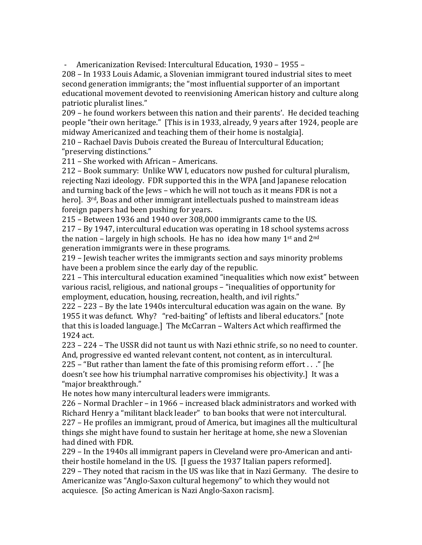Americanization Revised: Intercultural Education, 1930 - 1955 -

208 – In 1933 Louis Adamic, a Slovenian immigrant toured industrial sites to meet second generation immigrants; the "most influential supporter of an important educational movement devoted to reenvisioning American history and culture along patriotic pluralist lines."

209 – he found workers between this nation and their parents'. He decided teaching people "their own heritage." [This is in 1933, already, 9 years after 1924, people are midway Americanized and teaching them of their home is nostalgia].

210 – Rachael Davis Dubois created the Bureau of Intercultural Education; "preserving distinctions."

211 – She worked with African – Americans.

212 – Book summary: Unlike WW I, educators now pushed for cultural pluralism, rejecting Nazi ideology. FDR supported this in the WPA [and Japanese relocation and turning back of the Jews – which he will not touch as it means FDR is not a hero]. 3<sup>rd</sup>, Boas and other immigrant intellectuals pushed to mainstream ideas foreign papers had been pushing for years.

215 – Between 1936 and 1940 over 308,000 immigrants came to the US.  $217 - By 1947$ , intercultural education was operating in 18 school systems across the nation – largely in high schools. He has no idea how many  $1<sup>st</sup>$  and  $2<sup>nd</sup>$ generation immigrants were in these programs.

219 – Jewish teacher writes the immigrants section and says minority problems have been a problem since the early day of the republic.

 $221$  – This intercultural education examined "inequalities which now exist" between various racisl, religious, and national groups – "inequalities of opportunity for employment, education, housing, recreation, health, and ivil rights."

 $222 - 223 - By$  the late 1940s intercultural education was again on the wane. By 1955 it was defunct. Why? "red-baiting" of leftists and liberal educators." [note that this is loaded language.] The McCarran – Walters Act which reaffirmed the 1924 act. 

223 - 224 - The USSR did not taunt us with Nazi ethnic strife, so no need to counter. And, progressive ed wanted relevant content, not content, as in intercultural.

225 – "But rather than lament the fate of this promising reform effort  $\ldots$ ." [he doesn't see how his triumphal narrative compromises his objectivity.] It was a "major breakthrough."

He notes how many intercultural leaders were immigrants.

 $226$  – Normal Drachler – in 1966 – increased black administrators and worked with Richard Henry a "militant black leader" to ban books that were not intercultural. 227 – He profiles an immigrant, proud of America, but imagines all the multicultural things she might have found to sustain her heritage at home, she new a Slovenian had dined with FDR.

229 – In the 1940s all immigrant papers in Cleveland were pro-American and antitheir hostile homeland in the US. [I guess the 1937 Italian papers reformed].

229 – They noted that racism in the US was like that in Nazi Germany. The desire to Americanize was "Anglo-Saxon cultural hegemony" to which they would not acquiesce. [So acting American is Nazi Anglo-Saxon racism].